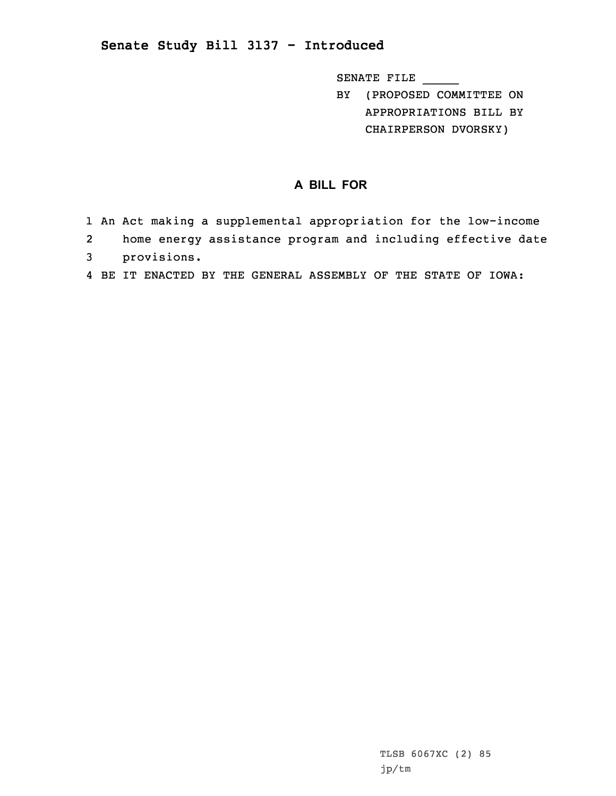## **Senate Study Bill 3137 - Introduced**

SENATE FILE \_\_\_\_\_

BY (PROPOSED COMMITTEE ON APPROPRIATIONS BILL BY CHAIRPERSON DVORSKY)

## **A BILL FOR**

- 1 An Act making <sup>a</sup> supplemental appropriation for the low-income
- 2home energy assistance program and including effective date
- 3 provisions.
- 4 BE IT ENACTED BY THE GENERAL ASSEMBLY OF THE STATE OF IOWA: